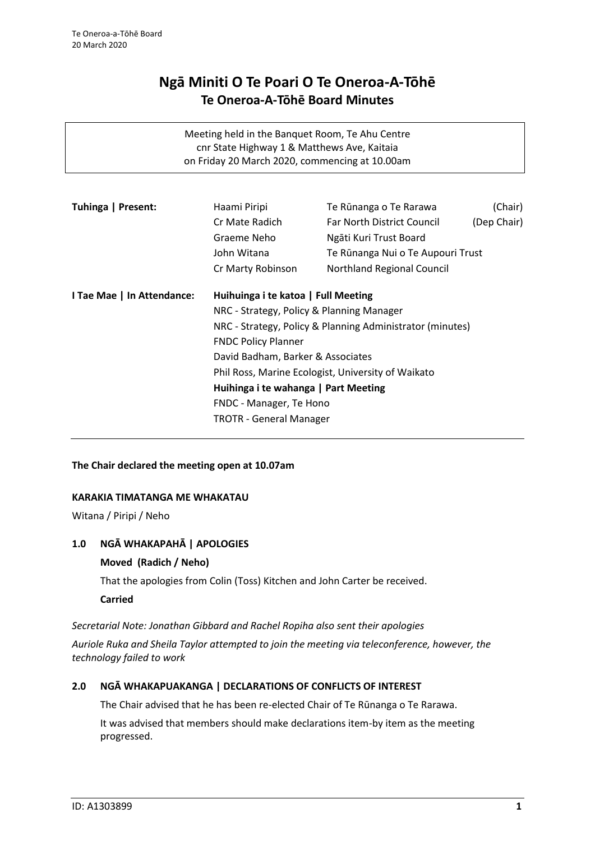# **Ngā Miniti O Te Poari O Te Oneroa-A-Tōhē Te Oneroa-A-Tōhē Board Minutes**

| Meeting held in the Banquet Room, Te Ahu Centre |
|-------------------------------------------------|
| cnr State Highway 1 & Matthews Ave, Kaitaia     |
| on Friday 20 March 2020, commencing at 10.00am  |

| Tuhinga   Present:             | Haami Piripi<br>Cr Mate Radich<br>Graeme Neho                   | Te Rūnanga o Te Rarawa<br>Far North District Council<br>Ngāti Kuri Trust Board | (Chair)<br>(Dep Chair) |
|--------------------------------|-----------------------------------------------------------------|--------------------------------------------------------------------------------|------------------------|
|                                | John Witana                                                     | Te Rūnanga Nui o Te Aupouri Trust                                              |                        |
|                                | Cr Marty Robinson                                               | Northland Regional Council                                                     |                        |
| I Tae Mae   In Attendance:     | Huihuinga i te katoa   Full Meeting                             |                                                                                |                        |
|                                | NRC - Strategy, Policy & Planning Manager                       |                                                                                |                        |
|                                |                                                                 | NRC - Strategy, Policy & Planning Administrator (minutes)                      |                        |
|                                | <b>FNDC Policy Planner</b><br>David Badham, Barker & Associates |                                                                                |                        |
|                                |                                                                 |                                                                                |                        |
|                                | Phil Ross, Marine Ecologist, University of Waikato              |                                                                                |                        |
|                                | Huihinga i te wahanga   Part Meeting                            |                                                                                |                        |
|                                | FNDC - Manager, Te Hono                                         |                                                                                |                        |
| <b>TROTR - General Manager</b> |                                                                 |                                                                                |                        |

## **The Chair declared the meeting open at 10.07am**

## **KARAKIA TIMATANGA ME WHAKATAU**

Witana / Piripi / Neho

## **1.0 NGĀ WHAKAPAHĀ | APOLOGIES**

## **Moved (Radich / Neho)**

That the apologies from Colin (Toss) Kitchen and John Carter be received.

**Carried**

*Secretarial Note: Jonathan Gibbard and Rachel Ropiha also sent their apologies*

*Auriole Ruka and Sheila Taylor attempted to join the meeting via teleconference, however, the technology failed to work*

## **2.0 NGĀ WHAKAPUAKANGA | DECLARATIONS OF CONFLICTS OF INTEREST**

The Chair advised that he has been re-elected Chair of Te Rūnanga o Te Rarawa.

It was advised that members should make declarations item-by item as the meeting progressed.